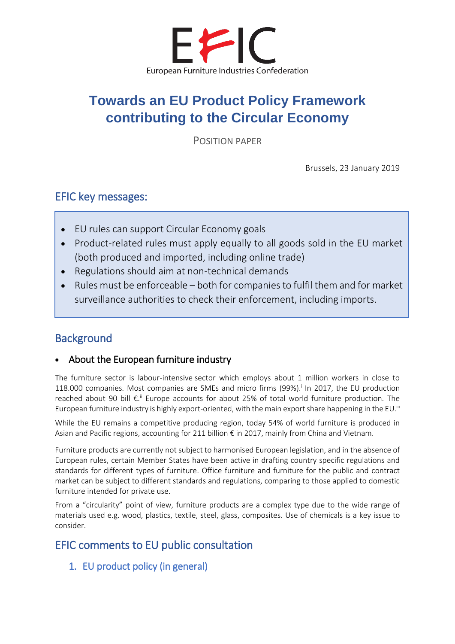

# **Towards an EU Product Policy Framework contributing to the Circular Economy**

POSITION PAPER

Brussels, 23 January 2019

## EFIC key messages:

I

I

I

I

I

- EU rules can support Circular Economy goals
- Product-related rules must apply equally to all goods sold in the EU market (both produced and imported, including online trade)
- Regulations should aim at non-technical demands
- Rules must be enforceable both for companies to fulfil them and for market surveillance authorities to check their enforcement, including imports.

# **Background**

#### • About the European furniture industry

The furniture sector is labour-intensive sector which employs about 1 million workers in close to 118.000 companies. Most companies are SMEs and micro firms (99%).<sup>i</sup> In 2017, the EU production reached about 90 bill  $\epsilon$ .<sup>ii</sup> Europe accounts for about 25% of total world furniture production. The European furniture industry is highly export-oriented, with the main export share happening in the EU.<sup>iii</sup>

While the EU remains a competitive producing region, today 54% of world furniture is produced in Asian and Pacific regions, accounting for 211 billion € in 2017, mainly from China and Vietnam.

Furniture products are currently not subject to harmonised European legislation, and in the absence of European rules, certain Member States have been active in drafting country specific regulations and standards for different types of furniture. Office furniture and furniture for the public and contract market can be subject to different standards and regulations, comparing to those applied to domestic furniture intended for private use.

From a "circularity" point of view, furniture products are a complex type due to the wide range of materials used e.g. wood, plastics, textile, steel, glass, composites. Use of chemicals is a key issue to consider.

# EFIC comments to EU public consultation

1. EU product policy (in general)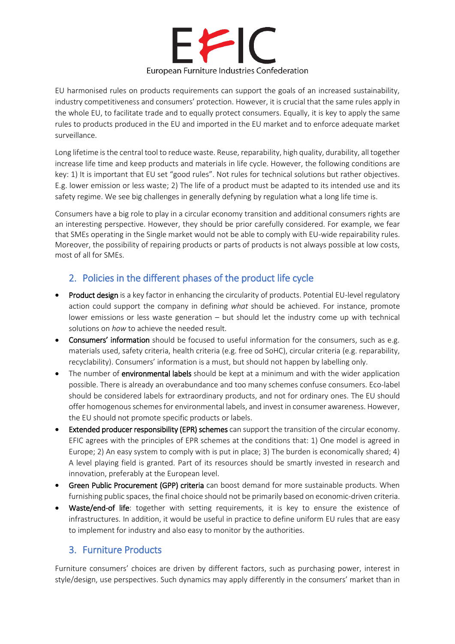

EU harmonised rules on products requirements can support the goals of an increased sustainability, industry competitiveness and consumers' protection. However, it is crucial that the same rules apply in the whole EU, to facilitate trade and to equally protect consumers. Equally, it is key to apply the same rules to products produced in the EU and imported in the EU market and to enforce adequate market surveillance.

Long lifetime is the central tool to reduce waste. Reuse, reparability, high quality, durability, all together increase life time and keep products and materials in life cycle. However, the following conditions are key: 1) It is important that EU set "good rules". Not rules for technical solutions but rather objectives. E.g. lower emission or less waste; 2) The life of a product must be adapted to its intended use and its safety regime. We see big challenges in generally defyning by regulation what a long life time is.

Consumers have a big role to play in a circular economy transition and additional consumers rights are an interesting perspective. However, they should be prior carefully considered. For example, we fear that SMEs operating in the Single market would not be able to comply with EU-wide repairability rules. Moreover, the possibility of repairing products or parts of products is not always possible at low costs, most of all for SMEs.

## 2. Policies in the different phases of the product life cycle

- Product design is a key factor in enhancing the circularity of products. Potential EU-level regulatory action could support the company in defining *what* should be achieved. For instance, promote lower emissions or less waste generation – but should let the industry come up with technical solutions on *how* to achieve the needed result.
- Consumers' information should be focused to useful information for the consumers, such as e.g. materials used, safety criteria, health criteria (e.g. free od SoHC), circular criteria (e.g. reparability, recyclability). Consumers' information is a must, but should not happen by labelling only.
- The number of **environmental labels** should be kept at a minimum and with the wider application possible. There is already an overabundance and too many schemes confuse consumers. Eco-label should be considered labels for extraordinary products, and not for ordinary ones. The EU should offer homogenous schemes for environmental labels, and invest in consumer awareness. However, the EU should not promote specific products or labels.
- Extended producer responsibility (EPR) schemes can support the transition of the circular economy. EFIC agrees with the principles of EPR schemes at the conditions that: 1) One model is agreed in Europe; 2) An easy system to comply with is put in place; 3) The burden is economically shared; 4) A level playing field is granted. Part of its resources should be smartly invested in research and innovation, preferably at the European level.
- Green Public Procurement (GPP) criteria can boost demand for more sustainable products. When furnishing public spaces, the final choice should not be primarily based on economic-driven criteria.
- Waste/end-of life: together with setting requirements, it is key to ensure the existence of infrastructures. In addition, it would be useful in practice to define uniform EU rules that are easy to implement for industry and also easy to monitor by the authorities.

#### 3. Furniture Products

Furniture consumers' choices are driven by different factors, such as purchasing power, interest in style/design, use perspectives. Such dynamics may apply differently in the consumers' market than in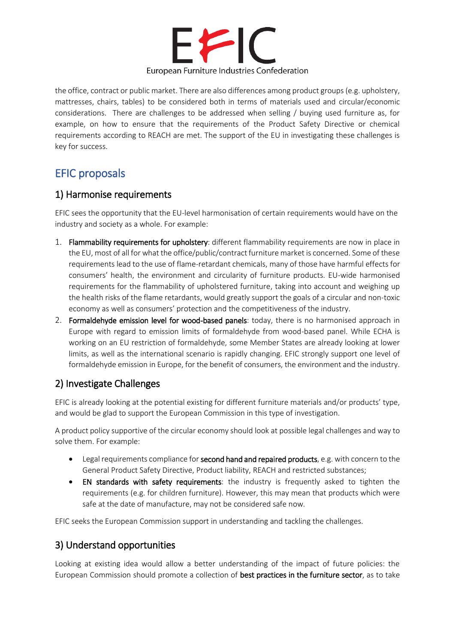

the office, contract or public market. There are also differences among product groups (e.g. upholstery, mattresses, chairs, tables) to be considered both in terms of materials used and circular/economic considerations. There are challenges to be addressed when selling / buying used furniture as, for example, on how to ensure that the requirements of the Product Safety Directive or chemical requirements according to REACH are met. The support of the EU in investigating these challenges is key for success.

# EFIC proposals

#### 1) Harmonise requirements

EFIC sees the opportunity that the EU-level harmonisation of certain requirements would have on the industry and society as a whole. For example:

- 1. Flammability requirements for upholstery: different flammability requirements are now in place in the EU, most of all for what the office/public/contract furniture market is concerned. Some of these requirements lead to the use of flame-retardant chemicals, many of those have harmful effects for consumers' health, the environment and circularity of furniture products. EU-wide harmonised requirements for the flammability of upholstered furniture, taking into account and weighing up the health risks of the flame retardants, would greatly support the goals of a circular and non-toxic economy as well as consumers' protection and the competitiveness of the industry.
- 2. Formaldehyde emission level for wood-based panels: today, there is no harmonised approach in Europe with regard to emission limits of formaldehyde from wood-based panel. While ECHA is working on an EU restriction of formaldehyde, some Member States are already looking at lower limits, as well as the international scenario is rapidly changing. EFIC strongly support one level of formaldehyde emission in Europe, for the benefit of consumers, the environment and the industry.

## 2) Investigate Challenges

EFIC is already looking at the potential existing for different furniture materials and/or products' type, and would be glad to support the European Commission in this type of investigation.

A product policy supportive of the circular economy should look at possible legal challenges and way to solve them. For example:

- Legal requirements compliance for second hand and repaired products, e.g. with concern to the General Product Safety Directive, Product liability, REACH and restricted substances;
- EN standards with safety requirements: the industry is frequently asked to tighten the requirements (e.g. for children furniture). However, this may mean that products which were safe at the date of manufacture, may not be considered safe now.

EFIC seeks the European Commission support in understanding and tackling the challenges.

## 3) Understand opportunities

Looking at existing idea would allow a better understanding of the impact of future policies: the European Commission should promote a collection of best practices in the furniture sector, as to take